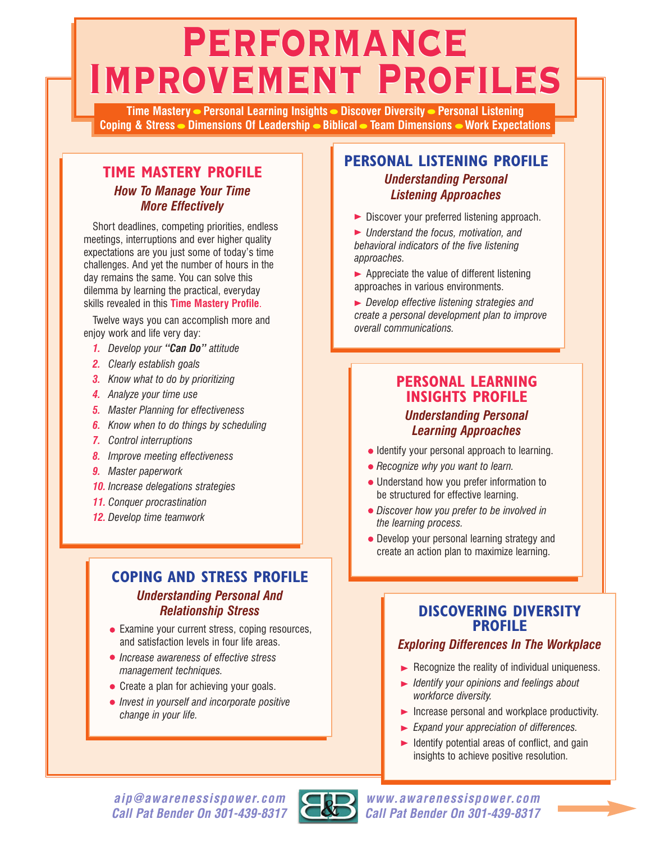# **Performance Performance Improvement Profiles Improvement Profiles**

**Time Mastery Personal Learning Insights Discover Diversity Personal Listening Coping & Stress Dimensions Of Leadership Biblical Team Dimensions Work Expectations**

#### **TIME MASTERY PROFILE** *How To Manage Your Time More Effectively*

Short deadlines, competing priorities, endless meetings, interruptions and ever higher quality expectations are you just some of today's time challenges. And yet the number of hours in the day remains the same. You can solve this dilemma by learning the practical, everyday skills revealed in this **Time Mastery Profile**.

Twelve ways you can accomplish more and enjoy work and life very day:

- *1. Develop your "Can Do" attitude*
- *2. Clearly establish goals*
- *3. Know what to do by prioritizing*
- *4. Analyze your time use*
- *5. Master Planning for effectiveness*
- *6. Know when to do things by scheduling*
- *7. Control interruptions*
- *8. Improve meeting effectiveness*
- *9. Master paperwork*
- *10. Increase delegations strategies*
- *11. Conquer procrastination*
- *12. Develop time teamwork*

# **COPING AND STRESS PROFILE**

#### *Understanding Personal And Relationship Stress*

- Examine your current stress, coping resources, and satisfaction levels in four life areas.
- *Increase awareness of effective stress management techniques.*
- Create a plan for achieving your goals.
- *Invest in yourself and incorporate positive change in your life.*

# **PERSONAL LISTENING PROFILE**

#### *Understanding Personal Listening Approaches*

- Discover your preferred listening approach.
- *Understand the focus, motivation, and behavioral indicators of the five listening approaches.*
- $\blacktriangleright$  Appreciate the value of different listening approaches in various environments.
- *Develop effective listening strategies and create a personal development plan to improve overall communications.*

# **PERSONAL LEARNING INSIGHTS PROFILE**

#### *Understanding Personal Learning Approaches*

- Identify your personal approach to learning.
- *Recognize why you want to learn.*
- Understand how you prefer information to be structured for effective learning.
- *Discover how you prefer to be involved in the learning process.*
- Develop your personal learning strategy and create an action plan to maximize learning.

### **DISCOVERING DIVERSITY PROFILE**

#### *Exploring Differences In The Workplace*

- $\blacktriangleright$  Recognize the reality of individual uniqueness.
- *Identify your opinions and feelings about workforce diversity.*
- $\blacktriangleright$  Increase personal and workplace productivity.
- *Expand your appreciation of differences.*
- $\blacktriangleright$  Identify potential areas of conflict, and gain insights to achieve positive resolution.

*aip@awarenessispower.com Call Pat Bender On 301-439-8317*